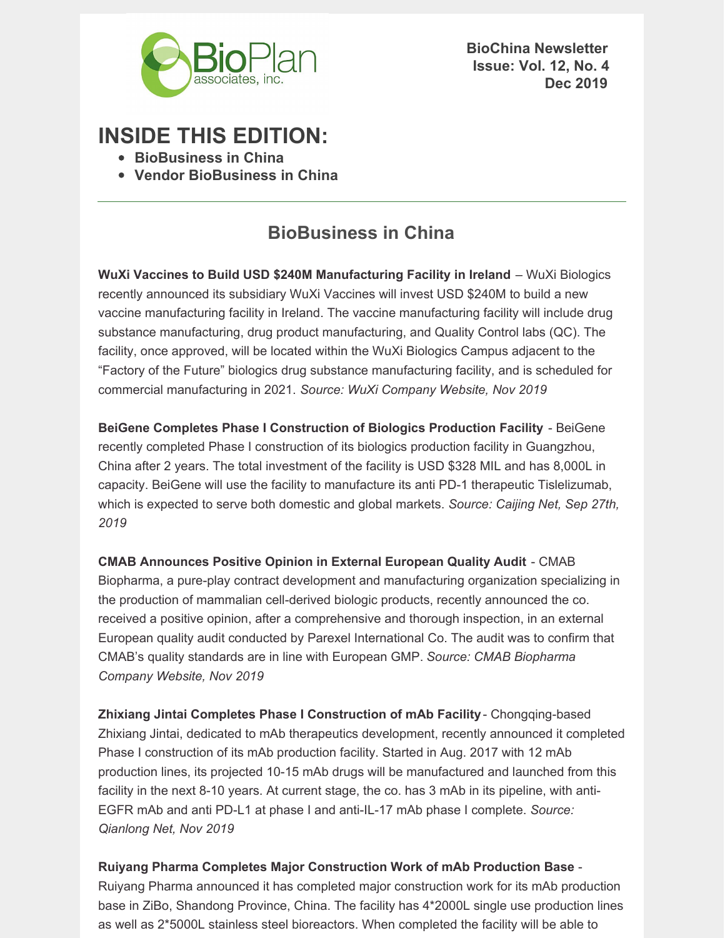

**BioChina Newsletter Issue: Vol. 12, No. 4 Dec 2019**

# **INSIDE THIS EDITION:**

- **BioBusiness in China**
- **Vendor BioBusiness in China**

### **BioBusiness in China**

**WuXi Vaccines to Build USD \$240M Manufacturing Facility in Ireland** – WuXi Biologics recently announced its subsidiary WuXi Vaccines will invest USD \$240M to build a new vaccine manufacturing facility in Ireland. The vaccine manufacturing facility will include drug substance manufacturing, drug product manufacturing, and Quality Control labs (QC). The facility, once approved, will be located within the WuXi Biologics Campus adjacent to the "Factory of the Future" biologics drug substance manufacturing facility, and is scheduled for commercial manufacturing in 2021. *Source: WuXi Company Website, Nov 2019*

**BeiGene Completes Phase I Construction of Biologics Production Facility** - BeiGene recently completed Phase I construction of its biologics production facility in Guangzhou, China after 2 years. The total investment of the facility is USD \$328 MIL and has 8,000L in capacity. BeiGene will use the facility to manufacture its anti PD-1 therapeutic Tislelizumab, which is expected to serve both domestic and global markets. *Source: Caijing Net, Sep 27th, 2019*

**CMAB Announces Positive Opinion in External European Quality Audit** - CMAB Biopharma, a pure-play contract development and manufacturing organization specializing in the production of mammalian cell-derived biologic products, recently announced the co. received a positive opinion, after a comprehensive and thorough inspection, in an external European quality audit conducted by Parexel International Co. The audit was to confirm that CMAB's quality standards are in line with European GMP. *Source: CMAB Biopharma Company Website, Nov 2019*

**Zhixiang Jintai Completes Phase I Construction of mAb Facility**- Chongqing-based Zhixiang Jintai, dedicated to mAb therapeutics development, recently announced it completed Phase I construction of its mAb production facility. Started in Aug. 2017 with 12 mAb production lines, its projected 10-15 mAb drugs will be manufactured and launched from this facility in the next 8-10 years. At current stage, the co. has 3 mAb in its pipeline, with anti-EGFR mAb and anti PD-L1 at phase I and anti-IL-17 mAb phase I complete. *Source: Qianlong Net, Nov 2019*

**Ruiyang Pharma Completes Major Construction Work of mAb Production Base** - Ruiyang Pharma announced it has completed major construction work for its mAb production base in ZiBo, Shandong Province, China. The facility has 4\*2000L single use production lines as well as 2\*5000L stainless steel bioreactors. When completed the facility will be able to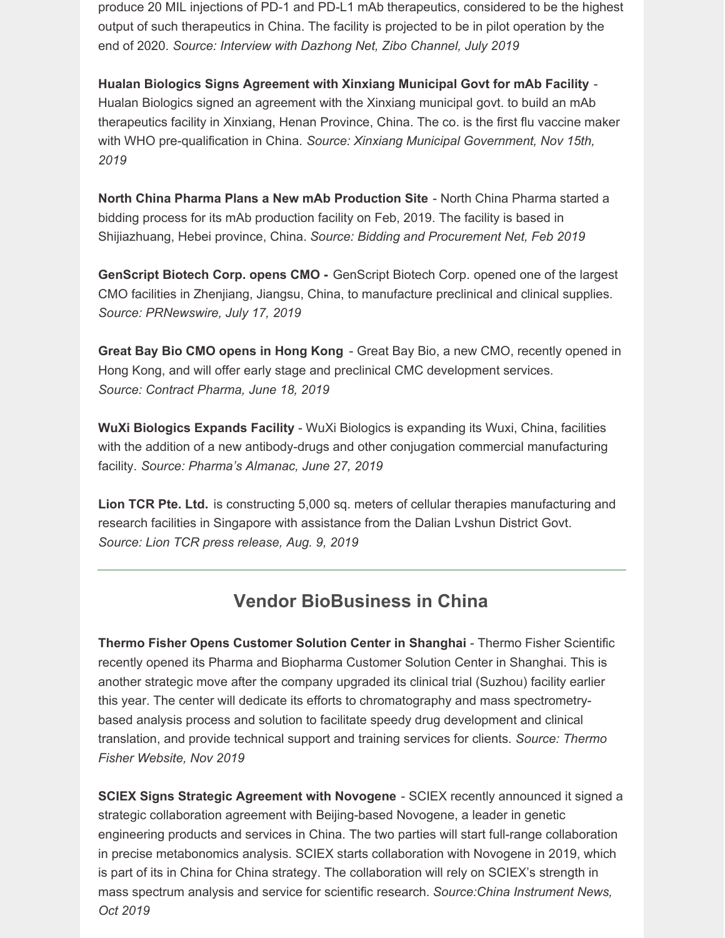produce 20 MIL injections of PD-1 and PD-L1 mAb therapeutics, considered to be the highest output of such therapeutics in China. The facility is projected to be in pilot operation by the end of 2020. *Source: Interview with Dazhong Net, Zibo Channel, July 2019*

**Hualan Biologics Signs Agreement with Xinxiang Municipal Govt for mAb Facility** - Hualan Biologics signed an agreement with the Xinxiang municipal govt. to build an mAb therapeutics facility in Xinxiang, Henan Province, China. The co. is the first flu vaccine maker with WHO pre-qualification in China. *Source: Xinxiang Municipal Government, Nov 15th, 2019*

**North China Pharma Plans a New mAb Production Site** - North China Pharma started a bidding process for its mAb production facility on Feb, 2019. The facility is based in Shijiazhuang, Hebei province, China. *Source: Bidding and Procurement Net, Feb 2019*

**GenScript Biotech Corp. opens CMO -** GenScript Biotech Corp. opened one of the largest CMO facilities in Zhenjiang, Jiangsu, China, to manufacture preclinical and clinical supplies. *Source: PRNewswire, July 17, 2019*

**Great Bay Bio CMO opens in Hong Kong** - Great Bay Bio, a new CMO, recently opened in Hong Kong, and will offer early stage and preclinical CMC development services. *Source: Contract Pharma, June 18, 2019*

**WuXi Biologics Expands Facility** - WuXi Biologics is expanding its Wuxi, China, facilities with the addition of a new antibody-drugs and other conjugation commercial manufacturing facility. *Source: Pharma's Almanac, June 27, 2019*

**Lion TCR Pte. Ltd.** is constructing 5,000 sq. meters of cellular therapies manufacturing and research facilities in Singapore with assistance from the Dalian Lvshun District Govt. *Source: Lion TCR press release, Aug. 9, 2019*

## **Vendor BioBusiness in China**

**Thermo Fisher Opens Customer Solution Center in Shanghai** - Thermo Fisher Scientific recently opened its Pharma and Biopharma Customer Solution Center in Shanghai. This is another strategic move after the company upgraded its clinical trial (Suzhou) facility earlier this year. The center will dedicate its efforts to chromatography and mass spectrometrybased analysis process and solution to facilitate speedy drug development and clinical translation, and provide technical support and training services for clients. *Source: Thermo Fisher Website, Nov 2019*

**SCIEX Signs Strategic Agreement with Novogene** - SCIEX recently announced it signed a strategic collaboration agreement with Beijing-based Novogene, a leader in genetic engineering products and services in China. The two parties will start full-range collaboration in precise metabonomics analysis. SCIEX starts collaboration with Novogene in 2019, which is part of its in China for China strategy. The collaboration will rely on SCIEX's strength in mass spectrum analysis and service for scientific research. *Source:China Instrument News, Oct 2019*